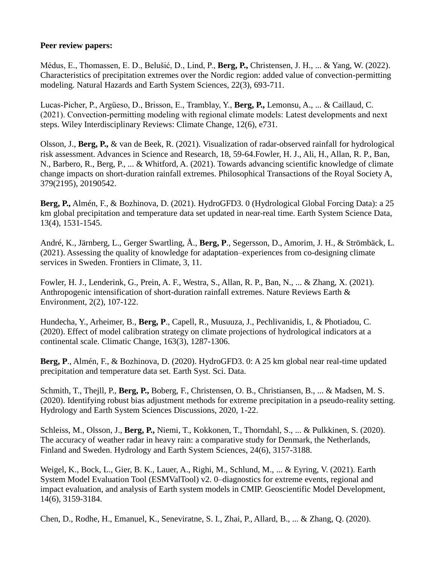## **Peer review papers:**

Médus, E., Thomassen, E. D., Belušić, D., Lind, P., **Berg, P.,** Christensen, J. H., ... & Yang, W. (2022). Characteristics of precipitation extremes over the Nordic region: added value of convection-permitting modeling. Natural Hazards and Earth System Sciences, 22(3), 693-711.

Lucas‐Picher, P., Argüeso, D., Brisson, E., Tramblay, Y., **Berg, P.,** Lemonsu, A., ... & Caillaud, C. (2021). Convection‐permitting modeling with regional climate models: Latest developments and next steps. Wiley Interdisciplinary Reviews: Climate Change, 12(6), e731.

Olsson, J., **Berg, P.,** & van de Beek, R. (2021). Visualization of radar-observed rainfall for hydrological risk assessment. Advances in Science and Research, 18, 59-64.Fowler, H. J., Ali, H., Allan, R. P., Ban, N., Barbero, R., Berg, P., ... & Whitford, A. (2021). Towards advancing scientific knowledge of climate change impacts on short-duration rainfall extremes. Philosophical Transactions of the Royal Society A, 379(2195), 20190542.

**Berg, P.,** Almén, F., & Bozhinova, D. (2021). HydroGFD3. 0 (Hydrological Global Forcing Data): a 25 km global precipitation and temperature data set updated in near-real time. Earth System Science Data, 13(4), 1531-1545.

André, K., Järnberg, L., Gerger Swartling, Å., **Berg, P**., Segersson, D., Amorim, J. H., & Strömbäck, L. (2021). Assessing the quality of knowledge for adaptation–experiences from co-designing climate services in Sweden. Frontiers in Climate, 3, 11.

Fowler, H. J., Lenderink, G., Prein, A. F., Westra, S., Allan, R. P., Ban, N., ... & Zhang, X. (2021). Anthropogenic intensification of short-duration rainfall extremes. Nature Reviews Earth & Environment, 2(2), 107-122.

Hundecha, Y., Arheimer, B., **Berg, P**., Capell, R., Musuuza, J., Pechlivanidis, I., & Photiadou, C. (2020). Effect of model calibration strategy on climate projections of hydrological indicators at a continental scale. Climatic Change, 163(3), 1287-1306.

**Berg, P**., Almén, F., & Bozhinova, D. (2020). HydroGFD3. 0: A 25 km global near real-time updated precipitation and temperature data set. Earth Syst. Sci. Data.

Schmith, T., Thejll, P., **Berg, P.,** Boberg, F., Christensen, O. B., Christiansen, B., ... & Madsen, M. S. (2020). Identifying robust bias adjustment methods for extreme precipitation in a pseudo-reality setting. Hydrology and Earth System Sciences Discussions, 2020, 1-22.

Schleiss, M., Olsson, J., **Berg, P.,** Niemi, T., Kokkonen, T., Thorndahl, S., ... & Pulkkinen, S. (2020). The accuracy of weather radar in heavy rain: a comparative study for Denmark, the Netherlands, Finland and Sweden. Hydrology and Earth System Sciences, 24(6), 3157-3188.

Weigel, K., Bock, L., Gier, B. K., Lauer, A., Righi, M., Schlund, M., ... & Eyring, V. (2021). Earth System Model Evaluation Tool (ESMValTool) v2. 0–diagnostics for extreme events, regional and impact evaluation, and analysis of Earth system models in CMIP. Geoscientific Model Development, 14(6), 3159-3184.

Chen, D., Rodhe, H., Emanuel, K., Seneviratne, S. I., Zhai, P., Allard, B., ... & Zhang, Q. (2020).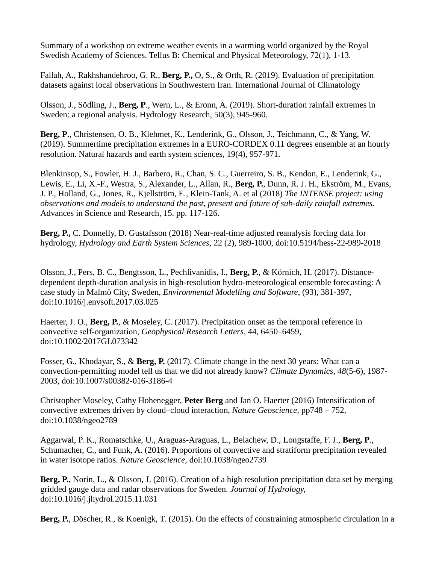Summary of a workshop on extreme weather events in a warming world organized by the Royal Swedish Academy of Sciences. Tellus B: Chemical and Physical Meteorology, 72(1), 1-13.

Fallah, A., Rakhshandehroo, G. R., **Berg, P.,** O, S., & Orth, R. (2019). Evaluation of precipitation datasets against local observations in Southwestern Iran. International Journal of Climatology

Olsson, J., Södling, J., **Berg, P**., Wern, L., & Eronn, A. (2019). Short-duration rainfall extremes in Sweden: a regional analysis. Hydrology Research, 50(3), 945-960.

**Berg, P**., Christensen, O. B., Klehmet, K., Lenderink, G., Olsson, J., Teichmann, C., & Yang, W. (2019). Summertime precipitation extremes in a EURO-CORDEX 0.11 degrees ensemble at an hourly resolution. Natural hazards and earth system sciences, 19(4), 957-971.

Blenkinsop, S., Fowler, H. J., Barbero, R., Chan, S. C., Guerreiro, S. B., Kendon, E., Lenderink, G., Lewis, E., Li, X.-F., Westra, S., Alexander, L., Allan, R., **Berg, P.**, Dunn, R. J. H., Ekström, M., Evans, J. P., Holland, G., Jones, R., Kjellström, E., Klein-Tank, A. et al (2018) *The INTENSE project: using observations and models to understand the past, present and future of sub-daily rainfall extremes.* Advances in Science and Research, 15. pp. 117-126.

**Berg, P.,** C. Donnelly, D. Gustafsson (2018) Near-real-time adjusted reanalysis forcing data for hydrology, *Hydrology and Earth System Sciences,* 22 (2), 989-1000, doi:10.5194/hess-22-989-2018

Olsson, J., Pers, B. C., Bengtsson, L., Pechlivanidis, I., **Berg, P.**, & Körnich, H. (2017). Distancedependent depth-duration analysis in high-resolution hydro-meteorological ensemble forecasting: A case study in Malmö City, Sweden, *Environmental Modelling and Software*, (93), 381-397, doi:10.1016/j.envsoft.2017.03.025

Haerter, J. O., **Berg, P.**, & Moseley, C. (2017). Precipitation onset as the temporal reference in convective self‐organization, *Geophysical Research Letters*, 44, 6450–6459, doi:10.1002/2017GL073342

Fosser, G., Khodayar, S., & **Berg, P.** (2017). Climate change in the next 30 years: What can a convection-permitting model tell us that we did not already know? *Climate Dynamics*, *48*(5-6), 1987- 2003, doi:10.1007/s00382-016-3186-4

Christopher Moseley, Cathy Hohenegger, **Peter Berg** and Jan O. Haerter (2016) Intensification of convective extremes driven by cloud–cloud interaction, *Nature Geoscience,* pp748 – 752, doi:10.1038/ngeo2789

Aggarwal, P. K., Romatschke, U., Araguas-Araguas, L., Belachew, D., Longstaffe, F. J., **Berg, P**., Schumacher, C., and Funk, A. (2016). Proportions of convective and stratiform precipitation revealed in water isotope ratios. *Nature Geoscience,* doi:10.1038/ngeo2739

**Berg, P.**, Norin, L., & Olsson, J. (2016). Creation of a high resolution precipitation data set by merging gridded gauge data and radar observations for Sweden. *Journal of Hydrology,*  doi:10.1016/j.jhydrol.2015.11.031

**Berg, P.**, Döscher, R., & Koenigk, T. (2015). On the effects of constraining atmospheric circulation in a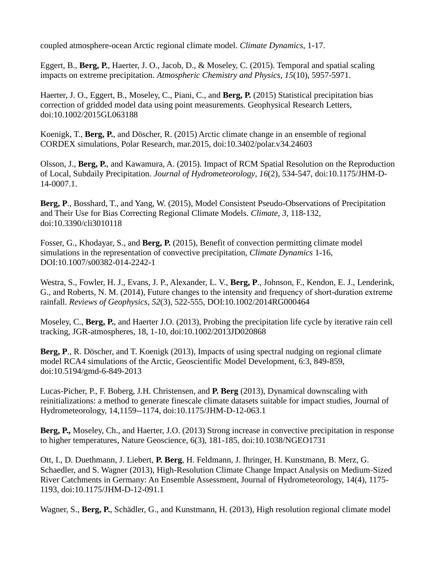coupled atmosphere-ocean Arctic regional climate model. *Climate Dynamics*, 1-17.

Eggert, B., **Berg, P.**, Haerter, J. O., Jacob, D., & Moseley, C. (2015). Temporal and spatial scaling impacts on extreme precipitation. *Atmospheric Chemistry and Physics*, *15*(10), 5957-5971.

Haerter, J. O., Eggert, B., Moseley, C., Piani, C., and **Berg, P.** (2015) Statistical precipitation bias correction of gridded model data using point measurements. Geophysical Research Letters, doi:10.1002/2015GL063188

Koenigk, T., **Berg, P.**, and Döscher, R. (2015) Arctic climate change in an ensemble of regional CORDEX simulations, Polar Research, mar.2015, doi[:10.3402/polar.v34.24603](http://dx.doi.org/10.3402/polar.v34.24603)

Olsson, J., **Berg, P.**, and Kawamura, A. (2015). Impact of RCM Spatial Resolution on the Reproduction of Local, Subdaily Precipitation. *Journal of Hydrometeorology*, *16*(2), 534-547, doi:10.1175/JHM-D-14-0007.1.

**Berg, P**., Bosshard, T., and Yang, W. (2015), Model Consistent Pseudo-Observations of Precipitation and Their Use for Bias Correcting Regional Climate Models. *Climate*, *3*, 118-132, doi:10.3390/cli3010118

Fosser, G., Khodayar, S., and **Berg, P.** (2015), Benefit of convection permitting climate model simulations in the representation of convective precipitation, *Climate Dynamics* 1-16, DOI:10.1007/s00382-014-2242-1

Westra, S., Fowler, H. J., Evans, J. P., Alexander, L. V., **Berg, P**., Johnson, F., Kendon, E. J., Lenderink, G., and Roberts, N. M. (2014), Future changes to the intensity and frequency of short‐duration extreme rainfall. *Reviews of Geophysics*, *52*(3), 522-555, DOI:10.1002/2014RG000464

Moseley, C., **Berg, P.**, and Haerter J.O. (2013), Probing the precipitation life cycle by iterative rain cell tracking, JGR-atmospheres, 18, 1-10, doi:10.1002/2013JD020868

**Berg, P**., R. Döscher, and T. Koenigk (2013), Impacts of using spectral nudging on regional climate model RCA4 simulations of the Arctic, Geoscientific Model Development, 6:3, 849-859, doi:10.5194/gmd-6-849-2013

Lucas-Picher, P., F. Boberg, J.H. Christensen, and **P. Berg** (2013), Dynamical downscaling with reinitializations: a method to generate finescale climate datasets suitable for impact studies, Journal of Hydrometeorology, 14,1159--1174, doi:10.1175/JHM-D-12-063.1

**Berg, P.,** Moseley, Ch., and Haerter, J.O. (2013) Strong increase in convective precipitation in response to higher temperatures, Nature Geoscience, 6(3), 181-185, doi:10.1038/NGEO1731

Ott, I., D. Duethmann, J. Liebert, **P. Berg**, H. Feldmann, J. Ihringer, H. Kunstmann, B. Merz, G. Schaedler, and S. Wagner (2013), High-Resolution Climate Change Impact Analysis on Medium-Sized River Catchments in Germany: An Ensemble Assessment, Journal of Hydrometeorology, 14(4), 1175- 1193, doi:10.1175/JHM-D-12-091.1

Wagner, S., **Berg, P.**, Schädler, G., and Kunstmann, H. (2013), High resolution regional climate model